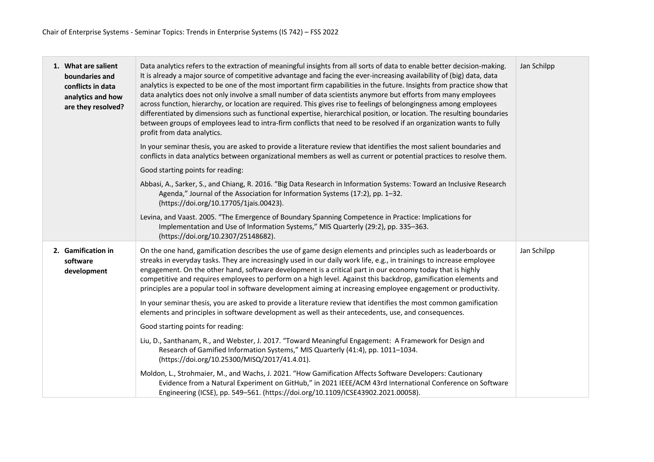| 1. What are salient<br>boundaries and<br>conflicts in data<br>analytics and how<br>are they resolved? | Data analytics refers to the extraction of meaningful insights from all sorts of data to enable better decision-making.<br>It is already a major source of competitive advantage and facing the ever-increasing availability of (big) data, data<br>analytics is expected to be one of the most important firm capabilities in the future. Insights from practice show that<br>data analytics does not only involve a small number of data scientists anymore but efforts from many employees<br>across function, hierarchy, or location are required. This gives rise to feelings of belongingness among employees<br>differentiated by dimensions such as functional expertise, hierarchical position, or location. The resulting boundaries<br>between groups of employees lead to intra-firm conflicts that need to be resolved if an organization wants to fully<br>profit from data analytics.<br>In your seminar thesis, you are asked to provide a literature review that identifies the most salient boundaries and<br>conflicts in data analytics between organizational members as well as current or potential practices to resolve them.<br>Good starting points for reading:<br>Abbasi, A., Sarker, S., and Chiang, R. 2016. "Big Data Research in Information Systems: Toward an Inclusive Research | Jan Schilpp |
|-------------------------------------------------------------------------------------------------------|--------------------------------------------------------------------------------------------------------------------------------------------------------------------------------------------------------------------------------------------------------------------------------------------------------------------------------------------------------------------------------------------------------------------------------------------------------------------------------------------------------------------------------------------------------------------------------------------------------------------------------------------------------------------------------------------------------------------------------------------------------------------------------------------------------------------------------------------------------------------------------------------------------------------------------------------------------------------------------------------------------------------------------------------------------------------------------------------------------------------------------------------------------------------------------------------------------------------------------------------------------------------------------------------------------------------|-------------|
|                                                                                                       | Agenda," Journal of the Association for Information Systems (17:2), pp. 1-32.<br>(https://doi.org/10.17705/1jais.00423).                                                                                                                                                                                                                                                                                                                                                                                                                                                                                                                                                                                                                                                                                                                                                                                                                                                                                                                                                                                                                                                                                                                                                                                           |             |
|                                                                                                       | Levina, and Vaast. 2005. "The Emergence of Boundary Spanning Competence in Practice: Implications for<br>Implementation and Use of Information Systems," MIS Quarterly (29:2), pp. 335-363.<br>(https://doi.org/10.2307/25148682).                                                                                                                                                                                                                                                                                                                                                                                                                                                                                                                                                                                                                                                                                                                                                                                                                                                                                                                                                                                                                                                                                 |             |
| 2. Gamification in<br>software<br>development                                                         | On the one hand, gamification describes the use of game design elements and principles such as leaderboards or<br>streaks in everyday tasks. They are increasingly used in our daily work life, e.g., in trainings to increase employee<br>engagement. On the other hand, software development is a critical part in our economy today that is highly<br>competitive and requires employees to perform on a high level. Against this backdrop, gamification elements and<br>principles are a popular tool in software development aiming at increasing employee engagement or productivity.                                                                                                                                                                                                                                                                                                                                                                                                                                                                                                                                                                                                                                                                                                                        | Jan Schilpp |
|                                                                                                       | In your seminar thesis, you are asked to provide a literature review that identifies the most common gamification<br>elements and principles in software development as well as their antecedents, use, and consequences.                                                                                                                                                                                                                                                                                                                                                                                                                                                                                                                                                                                                                                                                                                                                                                                                                                                                                                                                                                                                                                                                                          |             |
|                                                                                                       | Good starting points for reading:                                                                                                                                                                                                                                                                                                                                                                                                                                                                                                                                                                                                                                                                                                                                                                                                                                                                                                                                                                                                                                                                                                                                                                                                                                                                                  |             |
|                                                                                                       | Liu, D., Santhanam, R., and Webster, J. 2017. "Toward Meaningful Engagement: A Framework for Design and<br>Research of Gamified Information Systems," MIS Quarterly (41:4), pp. 1011-1034.<br>(https://doi.org/10.25300/MISQ/2017/41.4.01).                                                                                                                                                                                                                                                                                                                                                                                                                                                                                                                                                                                                                                                                                                                                                                                                                                                                                                                                                                                                                                                                        |             |
|                                                                                                       | Moldon, L., Strohmaier, M., and Wachs, J. 2021. "How Gamification Affects Software Developers: Cautionary<br>Evidence from a Natural Experiment on GitHub," in 2021 IEEE/ACM 43rd International Conference on Software<br>Engineering (ICSE), pp. 549-561. (https://doi.org/10.1109/ICSE43902.2021.00058).                                                                                                                                                                                                                                                                                                                                                                                                                                                                                                                                                                                                                                                                                                                                                                                                                                                                                                                                                                                                         |             |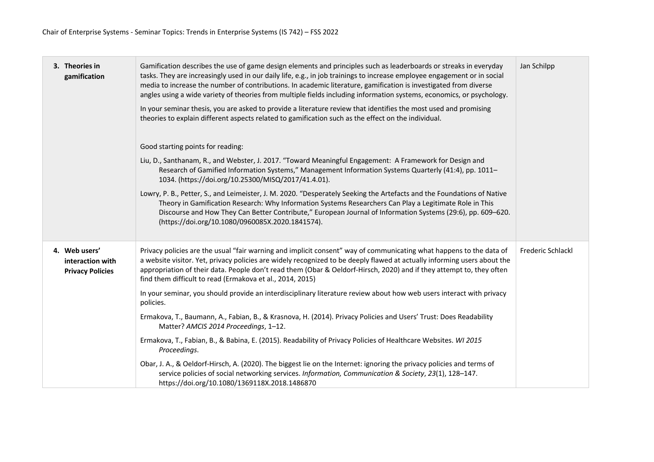| 3. Theories in<br>gamification                               | Gamification describes the use of game design elements and principles such as leaderboards or streaks in everyday<br>tasks. They are increasingly used in our daily life, e.g., in job trainings to increase employee engagement or in social<br>media to increase the number of contributions. In academic literature, gamification is investigated from diverse<br>angles using a wide variety of theories from multiple fields including information systems, economics, or psychology.<br>In your seminar thesis, you are asked to provide a literature review that identifies the most used and promising<br>theories to explain different aspects related to gamification such as the effect on the individual.<br>Good starting points for reading:<br>Liu, D., Santhanam, R., and Webster, J. 2017. "Toward Meaningful Engagement: A Framework for Design and<br>Research of Gamified Information Systems," Management Information Systems Quarterly (41:4), pp. 1011-<br>1034. (https://doi.org/10.25300/MISQ/2017/41.4.01).<br>Lowry, P. B., Petter, S., and Leimeister, J. M. 2020. "Desperately Seeking the Artefacts and the Foundations of Native<br>Theory in Gamification Research: Why Information Systems Researchers Can Play a Legitimate Role in This<br>Discourse and How They Can Better Contribute," European Journal of Information Systems (29:6), pp. 609-620.<br>(https://doi.org/10.1080/0960085X.2020.1841574). | Jan Schilpp              |
|--------------------------------------------------------------|-----------------------------------------------------------------------------------------------------------------------------------------------------------------------------------------------------------------------------------------------------------------------------------------------------------------------------------------------------------------------------------------------------------------------------------------------------------------------------------------------------------------------------------------------------------------------------------------------------------------------------------------------------------------------------------------------------------------------------------------------------------------------------------------------------------------------------------------------------------------------------------------------------------------------------------------------------------------------------------------------------------------------------------------------------------------------------------------------------------------------------------------------------------------------------------------------------------------------------------------------------------------------------------------------------------------------------------------------------------------------------------------------------------------------------------------------|--------------------------|
| 4. Web users'<br>interaction with<br><b>Privacy Policies</b> | Privacy policies are the usual "fair warning and implicit consent" way of communicating what happens to the data of<br>a website visitor. Yet, privacy policies are widely recognized to be deeply flawed at actually informing users about the<br>appropriation of their data. People don't read them (Obar & Oeldorf-Hirsch, 2020) and if they attempt to, they often<br>find them difficult to read (Ermakova et al., 2014, 2015)<br>In your seminar, you should provide an interdisciplinary literature review about how web users interact with privacy<br>policies.<br>Ermakova, T., Baumann, A., Fabian, B., & Krasnova, H. (2014). Privacy Policies and Users' Trust: Does Readability<br>Matter? AMCIS 2014 Proceedings, 1-12.<br>Ermakova, T., Fabian, B., & Babina, E. (2015). Readability of Privacy Policies of Healthcare Websites. WI 2015<br>Proceedings.                                                                                                                                                                                                                                                                                                                                                                                                                                                                                                                                                                     | <b>Frederic Schlackl</b> |
|                                                              | Obar, J. A., & Oeldorf-Hirsch, A. (2020). The biggest lie on the Internet: ignoring the privacy policies and terms of<br>service policies of social networking services. Information, Communication & Society, 23(1), 128-147.<br>https://doi.org/10.1080/1369118X.2018.1486870                                                                                                                                                                                                                                                                                                                                                                                                                                                                                                                                                                                                                                                                                                                                                                                                                                                                                                                                                                                                                                                                                                                                                               |                          |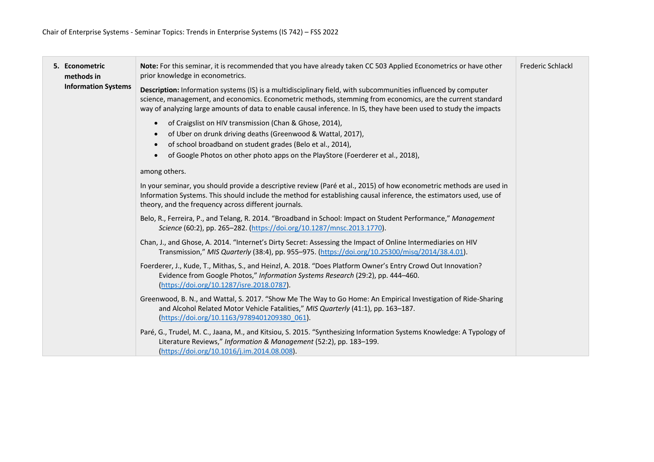| 5. Econometric<br>methods in<br><b>Information Systems</b> | Note: For this seminar, it is recommended that you have already taken CC 503 Applied Econometrics or have other<br>prior knowledge in econometrics.                                                                                                                                                                                                | <b>Frederic Schlackl</b> |
|------------------------------------------------------------|----------------------------------------------------------------------------------------------------------------------------------------------------------------------------------------------------------------------------------------------------------------------------------------------------------------------------------------------------|--------------------------|
|                                                            | Description: Information systems (IS) is a multidisciplinary field, with subcommunities influenced by computer<br>science, management, and economics. Econometric methods, stemming from economics, are the current standard<br>way of analyzing large amounts of data to enable causal inference. In IS, they have been used to study the impacts |                          |
|                                                            | of Craigslist on HIV transmission (Chan & Ghose, 2014),<br>$\bullet$<br>of Uber on drunk driving deaths (Greenwood & Wattal, 2017),<br>of school broadband on student grades (Belo et al., 2014),<br>$\bullet$<br>of Google Photos on other photo apps on the PlayStore (Foerderer et al., 2018),                                                  |                          |
|                                                            | among others.                                                                                                                                                                                                                                                                                                                                      |                          |
|                                                            | In your seminar, you should provide a descriptive review (Paré et al., 2015) of how econometric methods are used in<br>Information Systems. This should include the method for establishing causal inference, the estimators used, use of<br>theory, and the frequency across different journals.                                                  |                          |
|                                                            | Belo, R., Ferreira, P., and Telang, R. 2014. "Broadband in School: Impact on Student Performance," Management<br>Science (60:2), pp. 265-282. (https://doi.org/10.1287/mnsc.2013.1770).                                                                                                                                                            |                          |
|                                                            | Chan, J., and Ghose, A. 2014. "Internet's Dirty Secret: Assessing the Impact of Online Intermediaries on HIV<br>Transmission," MIS Quarterly (38:4), pp. 955-975. (https://doi.org/10.25300/misq/2014/38.4.01).                                                                                                                                    |                          |
|                                                            | Foerderer, J., Kude, T., Mithas, S., and Heinzl, A. 2018. "Does Platform Owner's Entry Crowd Out Innovation?<br>Evidence from Google Photos," Information Systems Research (29:2), pp. 444-460.<br>(https://doi.org/10.1287/isre.2018.0787).                                                                                                       |                          |
|                                                            | Greenwood, B. N., and Wattal, S. 2017. "Show Me The Way to Go Home: An Empirical Investigation of Ride-Sharing<br>and Alcohol Related Motor Vehicle Fatalities," MIS Quarterly (41:1), pp. 163-187.<br>(https://doi.org/10.1163/9789401209380 061).                                                                                                |                          |
|                                                            | Paré, G., Trudel, M. C., Jaana, M., and Kitsiou, S. 2015. "Synthesizing Information Systems Knowledge: A Typology of<br>Literature Reviews," Information & Management (52:2), pp. 183-199.<br>(https://doi.org/10.1016/j.im.2014.08.008).                                                                                                          |                          |